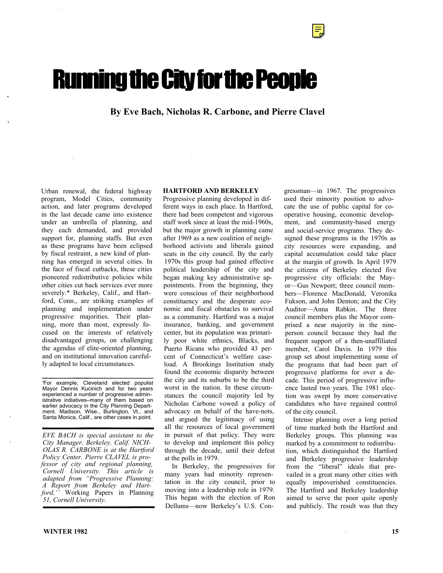

# Running the City for the People

### **By Eve Bach, Nicholas R. Carbone, and Pierre Clavel**

Urban renewal, the federal highway program, Model Cities, community action, and later programs developed in the last decade came into existence under an umbrella of planning, and they each demanded, and provided support for, planning staffs. But even as these programs have been eclipsed by fiscal restraint, a new kind of planning has emerged in several cities. In the face of fiscal cutbacks, these cities pioneered redistributive policies while other cities cut back services ever more severely.\* Berkeley, Calif., and Hartford, Conn., are striking examples of planning and implementation under progressive majorities. Their planning, more than most, expressly focused on the interests of relatively disadvantaged groups, on challenging the agendas of elite-oriented planning, and on institutional innovation carefully adapted to local circumstances.

'For example, Cleveland elected populist Mayor Dennis Kucinich and for two years experienced a number of progressive administrative initiatives—many of them based on earlier advocacy in the City Planning Department. Madison, Wise., Burlington, Vt., and Santa Monica, Calif., are other cases in point.

*EVE BACH is special assistant to the City Manager, Berkeley, Calif. NICH-OLAS R. CARBONE is at the Hartford Policy Center. Pierre CLAVEL is professor of city and regional planning, Cornell University. This article is adapted from "Progressive Planning: A Report from Berkeley and Hartford,''* Working Papers in Planning *51, Cornell University.*

#### **HARTFORD AND BERKELEY**

Progressive planning developed in different ways in each place. In Hartford, there had been competent and vigorous staff work since at least the mid-1960s, but the major growth in planning came after 1969 as a new coalition of neighborhood activists and liberals gained seats in the city council. By the early 1970s this group had gained effective political leadership of the city and began making key administrative appointments. From the beginning, they were conscious of their neighborhood constituency and the desperate economic and fiscal obstacles to survival as a community. Hartford was a major insurance, banking, and government center, but its population was primarily poor white ethnics, Blacks, and Puerto Ricans who provided 43 percent of Connecticut's welfare caseload. A Brookings Institution study found the economic disparity between the city and its suburbs to be the third worst in the nation. In these circumstances the council majority led by Nicholas Carbone vowed a policy of advocacy on behalf of the have-nots, and argued the legitimacy of using all the resources of local government in pursuit of that policy. They were to develop and implement this policy through the decade, until their defeat at the polls in 1979.

In Berkeley, the progressives for many years had minority representation in the city council, prior to moving into a leadership role in 1979. This began with the election of Ron Dellums—now Berkeley's U.S. Congressman—in 1967. The progressives used their minority position to advocate the use of public capital for cooperative housing, economic development, and community-based energy and social-service programs. They designed these programs in the 1970s as city resources were expanding, and capital accumulation could take place at the margin of growth. In April 1979 the citizens of Berkeley elected five progressive city officials: the Mayor—Gus Newport; three council members—Florence MacDonald, Veronika Fukson, and John Denton; and the City Auditor—Anna Rabkin. The three council members plus the Mayor comprised a near majority in the nineperson council because they had the frequent support of a then-unaffiliated member, Carol Davis. In 1979 this group set about implementing some of the programs that had been part of progressive platforms for over a decade. This period of progressive influence lasted two years. The 1981 election was swept by more conservative candidates who have regained control of the city council.

Intense planning over a long period of time marked both the Hartford and Berkeley groups. This planning was marked by a commitment to redistribution, which distinguished the Hartford and Berkeley progressive leadership from the "liberal" ideals that prevailed in a great many other cities with equally impoverished constituencies. The Hartford and Berkeley leadership aimed to serve the poor quite openly and publicly. The result was that they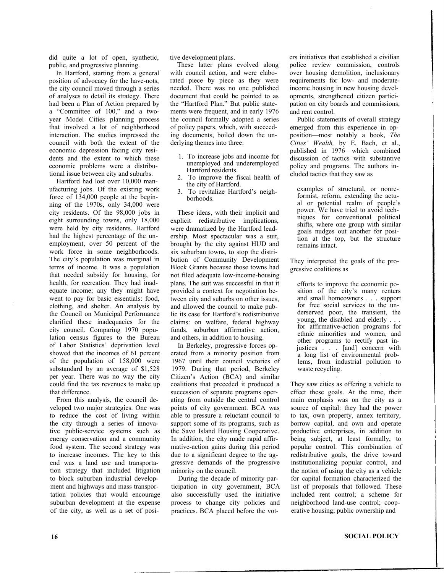did quite a lot of open, synthetic, public, and progressive planning.

In Hartford, starting from a general position of advocacy for the have-nots, the city council moved through a series of analyses to detail its strategy. There had been a Plan of Action prepared by a "Committee of 100," and a twoyear Model Cities planning process that involved a lot of neighborhood interaction. The studies impressed the council with both the extent of the economic depression facing city residents and the extent to which these economic problems were a distributional issue between city and suburbs.

Hartford had lost over 10,000 manufacturing jobs. Of the existing work force of 134,000 people at the beginning of the 1970s, only 34,000 were city residents. Of the 98,000 jobs in eight surrounding towns, only 18,000 were held by city residents. Hartford had the highest percentage of the unemployment, over 50 percent of the work force in some neighborhoods. The city's population was marginal in terms of income. It was a population that needed subsidy for housing, for health, for recreation. They had inadequate income; any they might have went to pay for basic essentials: food, clothing, and shelter. An analysis by the Council on Municipal Performance clarified these inadequacies for the city council. Comparing 1970 population census figures to the Bureau of Labor Statistics' deprivation level showed that the incomes of 61 percent of the population of 158,000 were substandard by an average of \$1,528 per year. There was no way the city could find the tax revenues to make up that difference.

From this analysis, the council developed two major strategies. One was to reduce the cost of living within the city through a series of innovative public-service systems such as energy conservation and a community food system. The second strategy was to increase incomes. The key to this end was a land use and transportation strategy that included litigation to block suburban industrial development and highways and mass transportation policies that would encourage suburban development at the expense of the city, as well as a set of positive development plans.

These latter plans evolved along with council action, and were elaborated piece by piece as they were needed. There was no one published document that could be pointed to as the "Hartford Plan." But public statements were frequent, and in early 1976 the council formally adopted a series of policy papers, which, with succeeding documents, boiled down the underlying themes into three:

- 1. To increase jobs and income for unemployed and underemployed Hartford residents.
- 2. To improve the fiscal health of the city of Hartford.
- 3. To revitalize Hartford's neighborhoods.

These ideas, with their implicit and explicit redistributive implications, were dramatized by the Hartford leadership. Most spectacular was a suit, brought by the city against HUD and six suburban towns, to stop the distribution of Community Development Block Grants because those towns had not filed adequate low-income-housing plans. The suit was successful in that it provided a context for negotiation between city and suburbs on other issues, and allowed the council to make public its case for Hartford's redistributive claims: on welfare, federal highway funds, suburban affirmative action, and others, in addition to housing.

In Berkeley, progressive forces operated from a minority position from 1967 until their council victories of 1979. During that period, Berkeley Citizen's Action (BCA) and similar coalitions that preceded it produced a succession of separate programs operating from outside the central control points of city government. BCA was able to pressure a reluctant council to support some of its programs, such as the Savo Island Housing Cooperative. In addition, the city made rapid affirmative-action gains during this period due to a significant degree to the aggressive demands of the progressive minority on the council.

During the decade of minority participation in city government, BCA also successfully used the initiative process to change city policies and practices. BCA placed before the voters initiatives that established a civilian police review commission, controls over housing demolition, inclusionary requirements for low- and moderateincome housing in new housing developments, strengthened citizen participation on city boards and commissions, and rent control.

Public statements of overall strategy emerged from this experience in opposition—most notably a book, *The Cities' Wealth,* by E. Bach, et al., published in 1976—which combined discussion of tactics with substantive policy and programs. The authors included tactics that they saw as

examples of structural, or nonreformist, reform, extending the actual or potential realm of people's power. We have tried to avoid techniques for conventional political shifts, where one group with similar goals nudges out another for position at the top, but the structure remains intact.

They interpreted the goals of the progressive coalitions as

efforts to improve the economic position of the city's many renters and small homeowners . . . support for free social services to the underserved poor, the transient, the young, the disabled and elderly . . . for affirmative-action programs for ethnic minorities and women, and other programs to rectify past injustices . . . [and] concern with a long list of environmental problems, from industrial pollution to waste recycling.

They saw cities as offering a vehicle to effect these goals. At the time, their main emphasis was on the city as a source of capital: they had the power to tax, own property, annex territory, borrow capital, and own and operate productive enterprises, in addition to being subject, at least formally, to popular control. This combination of redistributive goals, the drive toward institutionalizing popular control, and the notion of using the city as a vehicle for capital formation characterized the list of proposals that followed. These included rent control; a scheme for neighborhood land-use control; cooperative housing; public ownership and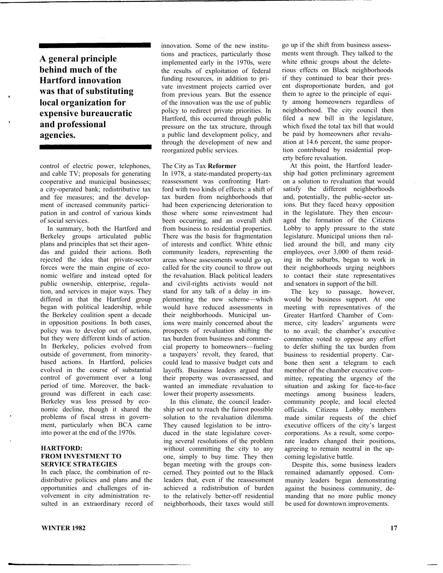## **A general principle behind much of the Hartford innovation was that of substituting local organization for expensive bureaucratic and professional agencies.**

control of electric power, telephones, and cable TV; proposals for generating cooperative and municipal businesses; a city-operated bank; redistributive tax and fee measures; and the development of increased community participation in and control of various kinds of social services.

In summary, both the Hartford and Berkeley groups articulated public plans and principles that set their agendas and guided their actions. Both rejected the idea that private-sector forces were the main engine of economic welfare and instead opted for public ownership, enterprise, regulation, and services in major ways. They differed in that the Hartford group began with political leadership, while the Berkeley coalition spent a decade in opposition positions. In both cases, policy was to develop out of actions, but they were different kinds of action. In Berkeley, policies evolved from outside of government, from minoritybased actions. In Hartford, policies evolved in the course of substantial control of government over a long period of time. Moreover, the background was different in each case: Berkeley was less pressed by economic decline, though it shared the problems of fiscal stress in government, particularly when BCA came into power at the end of the 1970s.

#### **HARTFORD: FROM INVESTMENT TO SERVICE STRATEGIES**

In each place, the combination of redistributive policies and plans and the opportunities and challenges of involvement in city administration resulted in an extraordinary record of innovation. Some of the new institutions and practices, particularly those implemented early in the 1970s, were the results of exploitation of federal funding resources, in addition to private investment projects carried over from previous years. But the essence of the innovation was the use of public policy to redirect private priorities. In Hartford, this occurred through public pressure on the tax structure, through a public land development policy, and through the development of new and reorganized public services.

#### The City as Tax **Reformer**

In 1978, a state-mandated property-tax reassessment was confronting Hartford with two kinds of effects: a shift of tax burden from neighborhoods that had been experiencing deterioration to those where some reinvestment had been occurring, and an overall shift from business to residential properties. There was the basis for fragmentation of interests and conflict. White ethnic community leaders, representing the areas whose assessments would go up, called for the city council to throw out the revaluation. Black political leaders and civil-rights activists would not stand for any talk of a delay in implementing the new scheme—which would have reduced assessments in their neighborhoods. Municipal unions were mainly concerned about the prospects of revaluation shifting the tax burden from business and commercial property to homeowners—fueling a taxpayers' revolt, they feared, that could lead to massive budget cuts and layoffs. Business leaders argued that their property was overassessed, and wanted an immediate revaluation to lower their property assessments.

In this climate, the council leadership set out to reach the fairest possible solution to the revaluation dilemma. They caused legislation to be introduced in the state legislature covering several resolutions of the problem without committing the city to any one, simply to buy time. They then began meeting with the groups concerned. They pointed out to the Black leaders that, even if the reassessment achieved a redistribution of burden to the relatively better-off residential neighborhoods, their taxes would still

go up if the shift from business assessments went through. They talked to the white ethnic groups about the deleterious effects on Black neighborhoods if they continued to bear their present disproportionate burden, and got them to agree to the principle of equity among homeowners regardless of neighborhood. The city council then filed a new bill in the legislature, which fixed the total tax bill that would be paid by homeowners after revaluation at 14.6 percent, the same proportion contributed by residential property before revaluation.

At this point, the Hartford leadership had gotten preliminary agreement on a solution to revaluation that would satisfy the different neighborhoods and, potentially, the public-sector unions. But they faced heavy opposition in the legislature. They then encouraged the formation of the Citizens Lobby to apply pressure to the state legislature. Municipal unions then rallied around the bill, and many city employees, over 3,000 of them residing in the suburbs, began to work in their neighborhoods urging neighbors to contact their state representatives and senators in support of the bill.

The key to passage, however, would be business support. At one meeting with representatives of the Greater Hartford Chamber of Commerce, city leaders' arguments were to no avail; the chamber's executive committee voted to oppose any effort to defer shifting the tax burden from business to residential property. Carbone then sent a telegram to each member of the chamber executive committee, repeating the urgency of the situation and asking for face-to-face meetings among business leaders, community people, and local elected officials. Citizens Lobby members made similar requests of the chief executive officers of the city's largest corporations. As a result, some corporate leaders changed their positions, agreeing to remain neutral in the upcoming legislative battle.

Despite this, some business leaders remained adamantly opposed. Community leaders began demonstrating against the business community, demanding that no more public money be used for downtown improvements.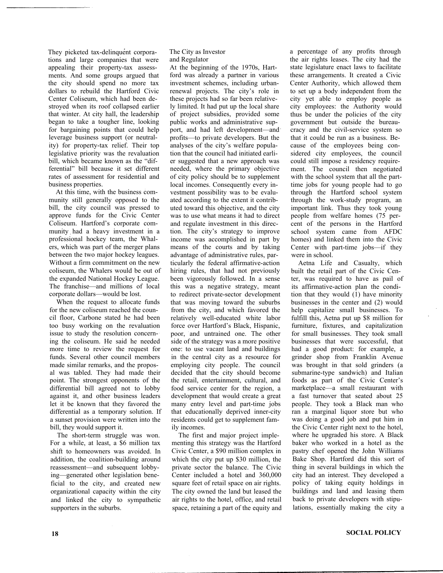They picketed tax-delinquent corporations and large companies that were appealing their property-tax assessments. And some groups argued that the city should spend no more tax dollars to rebuild the Hartford Civic Center Coliseum, which had been destroyed when its roof collapsed earlier that winter. At city hall, the leadership began to take a tougher line, looking for bargaining points that could help leverage business support (or neutrality) for property-tax relief. Their top legislative priority was the revaluation bill, which became known as the "differential" bill because it set different rates of assessment for residential and business properties.

At this time, with the business community still generally opposed to the bill, the city council was pressed to approve funds for the Civic Center Coliseum. Hartford's corporate community had a heavy investment in a professional hockey team, the Whalers, which was part of the merger plans between the two major hockey leagues. Without a firm commitment on the new coliseum, the Whalers would be out of the expanded National Hockey League. The franchise—and millions of local corporate dollars—would be lost.

When the request to allocate funds for the new coliseum reached the council floor, Carbone stated he had been too busy working on the revaluation issue to study the resolution concerning the coliseum. He said he needed more time to review the request for funds. Several other council members made similar remarks, and the proposal was tabled. They had made their point. The strongest opponents of the differential bill agreed not to lobby against it, and other business leaders let it be known that they favored the differential as a temporary solution. If a sunset provision were written into the bill, they would support it.

The short-term struggle was won. For a while, at least, a \$6 million tax shift to homeowners was avoided. In addition, the coalition-building around reassessment—and subsequent lobbying—generated other legislation beneficial to the city, and created new organizational capacity within the city and linked the city to sympathetic supporters in the suburbs.

#### The City as Investor and Regulator

At the beginning of the 1970s, Hartford was already a partner in various investment schemes, including urbanrenewal projects. The city's role in these projects had so far been relatively limited. It had put up the local share of project subsidies, provided some public works and administrative support, and had left development—and profits—to private developers. But the analyses of the city's welfare population that the council had initiated earlier suggested that a new approach was needed, where the primary objective of city policy should be to supplement local incomes. Consequently every investment possibility was to be evaluated according to the extent it contributed toward this objective, and the city was to use what means it had to direct and regulate investment in this direction. The city's strategy to improve income was accomplished in part by means of the courts and by taking advantage of administrative rules, particularly the federal affirmative-action hiring rules, that had not previously been vigorously followed. In a sense this was a negative strategy, meant to redirect private-sector development that was moving toward the suburbs from the city, and which favored the relatively well-educated white labor force over Hartford's Black, Hispanic, poor, and untrained one. The other side of the strategy was a more positive one: to use vacant land and buildings in the central city as a resource for employing city people. The council decided that the city should become the retail, entertainment, cultural, and food service center for the region, a development that would create a great many entry level and part-time jobs that educationally deprived inner-city residents could get to supplement family incomes.

The first and major project implementing this strategy was the Hartford Civic Center, a \$90 million complex in which the city put up \$30 million, the private sector the balance. The Civic Center included a hotel and 360,000 square feet of retail space on air rights. The city owned the land but leased the air rights to the hotel, office, and retail space, retaining a part of the equity and a percentage of any profits through the air rights leases. The city had the state legislature enact laws to facilitate these arrangements. It created a Civic Center Authority, which allowed them to set up a body independent from the city yet able to employ people as city employees: the Authority would thus be under the policies of the city government but outside the bureaucracy and the civil-service system so that it could be run as a business. Because of the employees being considered city employees, the council could still impose a residency requirement. The council then negotiated with the school system that all the parttime jobs for young people had to go through the Hartford school system through the work-study program, an important link. Thus they took young people from welfare homes (75 percent of the persons in the Hartford school system came from AFDC homes) and linked them into the Civic Center with part-time jobs—if they were in school.

Aetna Life and Casualty, which built the retail part of the Civic Center, was required to have as pail of its affirmative-action plan the condition that they would (1) have minority businesses in the center and (2) would help capitalize small businesses. To fulfill this, Aetna put up \$8 million for furniture, fixtures, and capitalization for small businesses. They took small businesses that were successful, that had a good product: for example, a grinder shop from Franklin Avenue was brought in that sold grinders (a submarine-type sandwich) and Italian foods as part of the Civic Center's marketplace—a small restaurant with a fast turnover that seated about 25 people. They took a Black man who ran a marginal liquor store but who was doing a good job and put him in the Civic Center right next to the hotel, where he upgraded his store. A Black baker who worked in a hotel as the pastry chef opened the John Williams Bake Shop. Hartford did this sort of thing in several buildings in which the city had an interest. They developed a policy of taking equity holdings in buildings and land and leasing them back to private developers with stipulations, essentially making the city a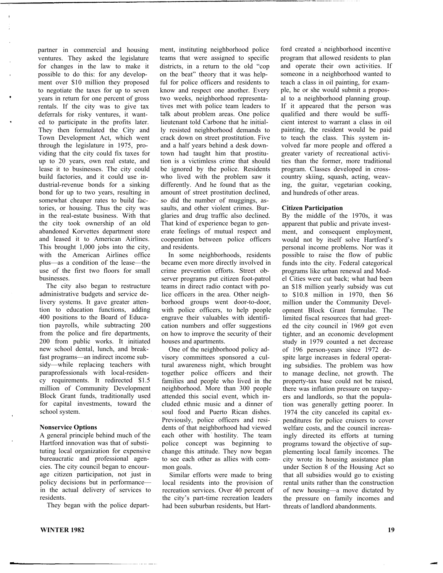partner in commercial and housing ventures. They asked the legislature for changes in the law to make it possible to do this: for any development over \$10 million they proposed to negotiate the taxes for up to seven years in return for one percent of gross rentals. If the city was to give tax deferrals for risky ventures, it wanted to participate in the profits later. They then formulated the City and Town Development Act, which went through the legislature in 1975, providing that the city could fix taxes for up to 20 years, own real estate, and lease it to businesses. The city could build factories, and it could use industrial-revenue bonds for a sinking bond for up to two years, resulting in somewhat cheaper rates to build factories, or housing. Thus the city was in the real-estate business. With that the city took ownership of an old abandoned Korvettes department store and leased it to American Airlines. This brought 1,000 jobs into the city, with the American Airlines office plus—as a condition of the lease—the use of the first two floors for small businesses.

The city also began to restructure administrative budgets and service delivery systems. It gave greater attention to education functions, adding 400 positions to the Board of Education payrolls, while subtracting 200 from the police and fire departments, 200 from public works. It initiated new school dental, lunch, and breakfast programs—an indirect income subsidy—while replacing teachers with paraprofessionals with local-residency requirements. It redirected \$1.5 million of Community Development Block Grant funds, traditionally used for capital investments, toward the school system.

#### **Nonservice Options**

A general principle behind much of the Hartford innovation was that of substituting local organization for expensive bureaucratic and professional agencies. The city council began to encourage citizen participation, not just in policy decisions but in performance in the actual delivery of services to residents.

They began with the police depart-

ment, instituting neighborhood police teams that were assigned to specific districts, in a return to the old "cop on the beat" theory that it was helpful for police officers and residents to know and respect one another. Every two weeks, neighborhood representatives met with police team leaders to talk about problem areas. One police lieutenant told Carbone that he initially resisted neighborhood demands to crack down on street prostitution. Five and a half years behind a desk downtown had taught him that prostitution is a victimless crime that should be ignored by the police. Residents who lived with the problem saw it differently. And he found that as the amount of street prostitution declined, so did the number of muggings, assaults, and other violent crimes. Burglaries and drug traffic also declined. That kind of experience began to generate feelings of mutual respect and cooperation between police officers and residents.

In some neighborhoods, residents became even more directly involved in crime prevention efforts. Street observer programs put citizen foot-patrol teams in direct radio contact with police officers in the area. Other neighborhood groups went door-to-door, with police officers, to help people engrave their valuables with identification numbers and offer suggestions on how to improve the security of their houses and apartments.

One of the neighborhood policy advisory committees sponsored a cultural awareness night, which brought together police officers and their families and people who lived in the neighborhood. More than 300 people attended this social event, which included ethnic music and a dinner of soul food and Puerto Rican dishes. Previously, police officers and residents of that neighborhood had viewed each other with hostility. The team police concept was beginning to change this attitude. They now began to see each other as allies with common goals.

Similar efforts were made to bring local residents into the provision of recreation services. Over 40 percent of the city's part-time recreation leaders had been suburban residents, but Hart-

ford created a neighborhood incentive program that allowed residents to plan and operate their own activities. If someone in a neighborhood wanted to teach a class in oil painting, for example, he or she would submit a proposal to a neighborhood planning group. If it appeared that the person was qualified and there would be sufficient interest to warrant a class in oil painting, the resident would be paid to teach the class. This system involved far more people and offered a greater variety of recreational activities than the former, more traditional program. Classes developed in crosscountry skiing, squash, acting, weaving, the guitar, vegetarian cooking, and hundreds of other areas.

#### **Citizen Participation**

By the middle of the 1970s, it was apparent that public and private investment, and consequent employment, would not by itself solve Hartford's personal income problems. Nor was it possible to raise the flow of public funds into the city. Federal categorical programs like urban renewal and Model Cities were cut back; what had been an \$18 million yearly subsidy was cut to \$10.8 million in 1970, then \$6 million under the Community Development Block Grant formulae. The limited fiscal resources that had greeted the city council in 1969 got even tighter, and an economic development study in 1979 counted a net decrease of 196 person-years since 1972 despite large increases in federal operating subsidies. The problem was how to manage decline, not growth. The property-tax base could not be raised, there was inflation pressure on taxpayers and landlords, so that the population was generally getting poorer. In 1974 the city canceled its capital expenditures for police cruisers to cover welfare costs, and the council increasingly directed its efforts at turning programs toward the objective of supplementing local family incomes. The city wrote its housing assistance plan under Section 8 of the Housing Act so that all subsidies would go to existing rental units rather than the construction of new housing—a move dictated by the pressure on family incomes and threats of landlord abandonments.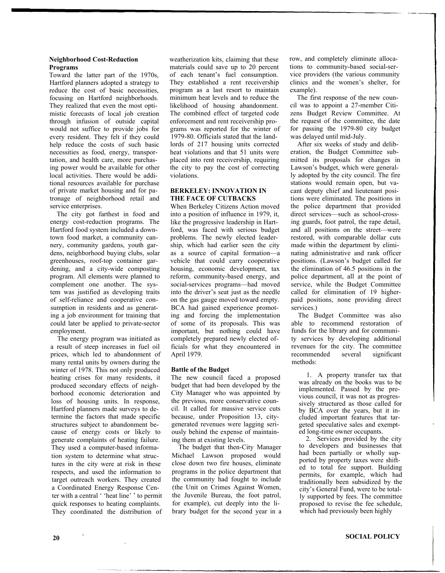#### **Neighborhood Cost-Reduction Programs**

Toward the latter part of the 1970s, Hartford planners adopted a strategy to reduce the cost of basic necessities, focusing on Hartford neighborhoods. They realized that even the most optimistic forecasts of local job creation through infusion of outside capital would not suffice to provide jobs for every resident. They felt if they could help reduce the costs of such basic necessities as food, energy, transportation, and health care, more purchasing power would be available for other local activities. There would be additional resources available for purchase of private market housing and for patronage of neighborhood retail and service enterprises.

The city got farthest in food and energy cost-reduction programs. The Hartford food system included a downtown food market, a community cannery, community gardens, youth gardens, neighborhood buying clubs, solar greenhouses, roof-top container gardening, and a city-wide composting program. All elements were planned to complement one another. The system was justified as developing traits of self-reliance and cooperative consumption in residents and as generating a job environment for training that could later be applied to private-sector employment.

The energy program was initiated as a result of steep increases in fuel oil prices, which led to abandonment of many rental units by owners during the winter of 1978. This not only produced heating crises for many residents, it produced secondary effects of neighborhood economic deterioration and loss of housing units. In response, Hartford planners made surveys to determine the factors that made specific structures subject to abandonment because of energy costs or likely to generate complaints of heating failure. They used a computer-based information system to determine what structures in the city were at risk in these respects, and used the information to target outreach workers. They created a Coordinated Energy Response Center with a central ' 'heat line' ' to permit quick responses to heating complaints. They coordinated the distribution of weatherization kits, claiming that these materials could save up to 20 percent of each tenant's fuel consumption. They established a rent receivership program as a last resort to maintain minimum heat levels and to reduce the likelihood of housing abandonment. The combined effect of targeted code enforcement and rent receivership programs was reported for the winter of 1979-80. Officials stated that the landlords of 217 housing units corrected heat violations and that 51 units were placed into rent receivership, requiring the city to pay the cost of correcting violations.

#### **BERKELEY: INNOVATION IN THE FACE OF CUTBACKS**

When Berkeley Citizens Action moved into a position of influence in 1979, it, like the progressive leadership in Hartford, was faced with serious budget problems. The newly elected leadership, which had earlier seen the city as a source of capital formation—a vehicle that could carry cooperative housing, economic development, tax reform, community-based energy, and social-services programs—had moved into the driver's seat just as the needle on the gas gauge moved toward empty. BCA had gained experience promoting and forcing the implementation of some of its proposals. This was important, but nothing could have completely prepared newly elected officials for what they encountered in April 1979.

#### **Battle of the Budget**

The new council faced a proposed budget that had been developed by the City Manager who was appointed by the previous, more conservative council. It called for massive service cuts because, under Proposition 13, citygenerated revenues were lagging seriously behind the expense of maintaining them at existing levels.

The budget that then-City Manager Michael Lawson proposed would close down two fire houses, eliminate programs in the police department that the community had fought to include (the Unit on Crimes Against Women, the Juvenile Bureau, the foot patrol, for example), cut deeply into the library budget for the second year in a row, and completely eliminate allocations to community-based social-service providers (the various community clinics and the women's shelter, for example).

The first response of the new council was to appoint a 27-member Citizens Budget Review Committee. At the request of the committee, the date for passing the 1979-80 city budget was delayed until mid-July.

After six weeks of study and deliberation, the Budget Committee submitted its proposals for changes in Lawson's budget, which were generally adopted by the city council. The fire stations would remain open, but vacant deputy chief and lieutenant positions were eliminated. The positions in the police department that provided direct services—such as school-crossing guards, foot patrol, the rape detail, and all positions on the street—were restored, with comparable dollar cuts made within the department by eliminating administrative and rank officer positions. (Lawson's budget called for the elimination of 46.5 positions in the police department, all at the point of service, while the Budget Committee called for elimination of 19 higherpaid positions, none providing direct services.)

The Budget Committee was also able to recommend restoration of funds for the library and for community services by developing additional revenues for the city. The committee recommended several significant methods:

1. A property transfer tax that was already on the books was to be implemented. Passed by the previous council, it was not as progressively structured as those called for by BCA over the years, but it included important features that targeted speculative sales and exempted long-time owner occupants.

2. Services provided by the city to developers and businesses that had been partially or wholly supported by property taxes were shifted to total fee support. Building permits, for example, which had traditionally been subsidized by the city's General Fund, were to be totally supported by fees. The committee proposed to revise the fee schedule, which had previously been highly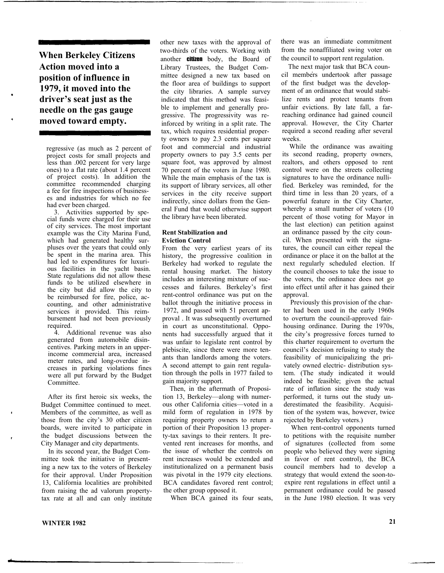**When Berkeley Citizens Action moved into a position of influence in 1979, it moved into the driver's seat just as the needle on the gas gauge moved toward empty.**

regressive (as much as 2 percent of project costs for small projects and less than .002 percent for very large ones) to a flat rate (about 1.4 percent of project costs). In addition the committee recommended charging a fee for fire inspections of businesses and industries for which no fee had ever been charged.

3. Activities supported by special funds were charged for their use of city services. The most important example was the City Marina Fund, which had generated healthy surpluses over the years that could only be spent in the marina area. This had led to expenditures for luxurious facilities in the yacht basin. State regulations did not allow these funds to be utilized elsewhere in the city but did allow the city to be reimbursed for fire, police, accounting, and other administrative services it provided. This reimbursement had not been previously required.

4. Additional revenue was also generated from automobile disincentives. Parking meters in an upperincome commercial area, increased meter rates, and long-overdue increases in parking violations fines were all put forward by the Budget Committee.

After its first heroic six weeks, the Budget Committee continued to meet. Members of the committee, as well as those from the city's 30 other citizen boards, were invited to participate in the budget discussions between the City Manager and city departments.

In its second year, the Budget Committee took the initiative in presenting a new tax to the voters of Berkeley for their approval. Under Proposition 13, California localities are prohibited from raising the ad valorum propertytax rate at all and can only institute other new taxes with the approval of two-thirds of the voters. Working with another citizen body, the Board of Library Trustees, the Budget Committee designed a new tax based on the floor area of buildings to support the city libraries. A sample survey indicated that this method was feasible to implement and generally progressive. The progressivity was reinforced by writing in a split rate. The tax, which requires residential property owners to pay 2.3 cents per square foot and commercial and industrial property owners to pay 3.5 cents per square foot, was approved by almost 70 percent of the voters in June 1980. While the main emphasis of the tax is its support of library services, all other services in the city receive support indirectly, since dollars from the General Fund that would otherwise support the library have been liberated.

#### **Rent Stabilization and Eviction Control**

From the very earliest years of its history, the progressive coalition in Berkeley had worked to regulate the rental housing market. The history includes an interesting mixture of successes and failures. Berkeley's first rent-control ordinance was put on the ballot through the initiative process in 1972, and passed with 51 percent approval . It was subsequently overturned in court as unconstitutional. Opponents had successfully argued that it was unfair to legislate rent control by plebiscite, since there were more tenants than landlords among the voters. A second attempt to gain rent regulation through the polls in 1977 failed to gain majority support.

Then, in the aftermath of Proposition 13, Berkeley—along with numerous other California cities—voted in a mild form of regulation in 1978 by requiring property owners to return a portion of their Proposition 13 property-tax savings to their renters. It prevented rent increases for months, and the issue of whether the controls on rent increases would be extended and institutionalized on a permanent basis was pivotal in the 1979 city elections. BCA candidates favored rent control; the other group opposed it.

When BCA gained its four seats,

there was an immediate commitment from the nonaffiliated swing voter on the council to support rent regulation.

The next major task that BCA council members undertook after passage of the first budget was the development of an ordinance that would stabilize rents and protect tenants from unfair evictions. By late fall, a farreaching ordinance had gained council approval. However, the City Charter required a second reading after several weeks.

While the ordinance was awaiting its second reading, property owners, realtors, and others opposed to rent control were on the streets collecting signatures to have the ordinance nullified. Berkeley was reminded, for the third time in less than 20 years, of a powerful feature in the City Charter, whereby a small number of voters (10 percent of those voting for Mayor in the last election) can petition against an ordinance passed by the city council. When presented with the signatures, the council can either repeal the ordinance or place it on the ballot at the next regularly scheduled election. If the council chooses to take the issue to the voters, the ordinance does not go into effect until after it has gained their approval.

Previously this provision of the charter had been used in the early 1960s to overturn the council-approved fairhousing ordinance. During the 1970s, the city's progressive forces turned to this charter requirement to overturn the council's decision refusing to study the feasibility of municipalizing the privately owned electric- distribution system. (The study indicated it would indeed be feasible; given the actual rate of inflation since the study was performed, it turns out the study underestimated the feasibility. Acquisition of the system was, however, twice rejected by Berkeley voters.)

When rent-control opponents turned to petitions with the requisite number of signatures (collected from some people who believed they were signing in favor of rent control), the BCA council members had to develop a strategy that would extend the soon-toexpire rent regulations in effect until a permanent ordinance could be passed in the June 1980 election. It was very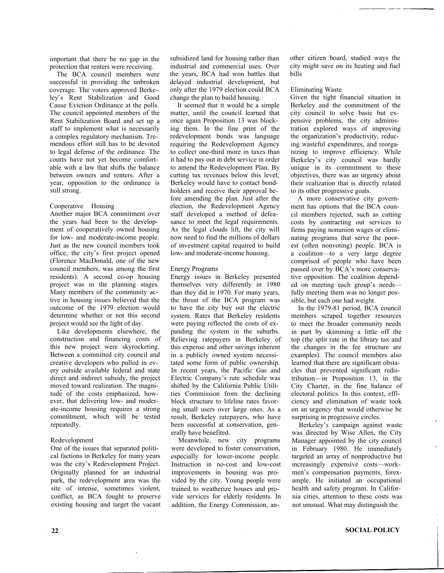important that there be no gap in the protection that renters were receiving.

The BCA council members were successful in providing the unbroken coverage. The voters approved Berkeley's Rent Stabilization and Good Cause Eviction Ordinance at the polls. The council appointed members of the Rent Stabilization Board and set up a staff to implement what is necessarily a complex regulatory mechanism. Tremendous effort still has to be devoted to legal defense of the ordinance. The courts have not yet become comfortable with a law that shifts the balance between owners and renters. After a year, opposition to the ordinance is still strong.

#### Cooperative Housing

Another major BCA commitment over the years had been to the development of cooperatively owned housing for low- and moderate-income people. Just as the new council members took office, the city's first project opened (Florence MacDonald, one of the new council members, was among the first residents). A second co-op housing project was in the planning stages. Many members of the community active in housing issues believed that the outcome of the 1979 election would determine whether or not this second project would see the light of day.

Like developments elsewhere, the construction and financing costs of this new project were skyrocketing. Between a committed city council and creative developers who pulled in every outside available federal and state direct and indirect subsidy, the project moved toward realization. The magnitude of the costs emphasized, however, that delivering low- and moderate-income housing requires a strong commitment, which will be tested repeatedly.

#### Redevelopment

One of the issues that separated political factions in Berkeley for many years was the city's Redevelopment Project. Originally planned for an industrial park, the redevelopment area was the site of intense, sometimes violent, conflict, as BCA fought to preserve existing housing and target the vacant subsidized land for housing rather than industrial and commercial uses. Over the years, BCA had won battles that delayed industrial development, but only after the 1979 election could BCA change the plan to build housing.

It seemed that it would be a simple matter, until the council learned that once again Proposition 13 was blocking them. In the fine print of the redevelopment bonds was language requiring the Redevelopment Agency to collect one-third more in taxes than it had to pay out in debt service in order to amend the Redevelopment Plan. By cutting tax revenues below this level, Berkeley would have to contact bondholders and receive their approval before amending the plan. Just after the election, the Redevelopment Agency staff developed a method of defeasance to meet the legal requirements. As the legal clouds lift, the city will now need to find the millions of dollars of investment capital required to build low- and moderate-income housing.

#### Energy Programs

Energy issues in Berkeley presented themselves very differently in 1980 than they did in 1970. For many years, the thrust of the BCA program was to have the city buy out the electric system. Rates that Berkeley residents were paying reflected the costs of expanding the system in the suburbs. Relieving ratepayers in Berkeley of this expense and other savings inherent in a publicly owned system necessitated some form of public ownership. In recent years, the Pacific Gas and Electric Company's rate schedule was shifted by the California Public Utilities Commission from the declining block structure to lifeline rates favoring small users over large ones. As a result, Berkeley ratepayers, who have been successful at conservation, generally have benefited.

Meanwhile, new city programs were developed to foster conservation, especially for lower-income people. Instruction in no-cost and low-cost improvements in housing was provided by the city. Young people were trained to weatherize houses and provide services for elderly residents. In addition, the Energy Commission, another citizen board, studied ways the city might save on its heating and fuel bills

#### Eliminating Waste

Given the tight financial situation in Berkeley and the commitment of the city council to solve basic but expensive problems, the city administration explored ways of improving the organization's productivity, reducing wasteful expenditures, and reorganizing to improve efficiency. While Berkeley's city council was hardly unique in its commitment to these objectives, there was an urgency about their realization that is directly related to its other progressive goals.

A more conservative city government has options that the BCA council members rejected, such as cutting costs by contracting out services to firms paying nonunion wages or eliminating programs that serve the poorest (often nonvoting) people. BCA is a coalition—to a very large degree comprised of people who have been passed over by BCA's more conservative opposition. The coalition depended on meeting each group's needs fully meeting them was no longer possible, but each one had weight.

In the 1979-81 period, BCA council members scraped together resources to meet the broader community needs in part by skimming a little off the top (the split rate in the library tax and the changes in the fee structure are examples). The council members also learned that there are significant obstacles that prevented significant redistribution—in Proposition 13, in the City Charter, in the fine balance of electoral politics. In this context, efficiency and elimination of waste took on an urgency that would otherwise be surprising in progressive circles.

Berkeley's campaign against waste was directed by Wise Allen, the City Manager appointed by the city council in February 1980. He immediately targeted an array of nonproductive but increasingly expensive costs—workmen's compensation payments, forexample. He initiated an occupational health and safety program. In California cities, attention to these costs was not unusual. What may distinguish the